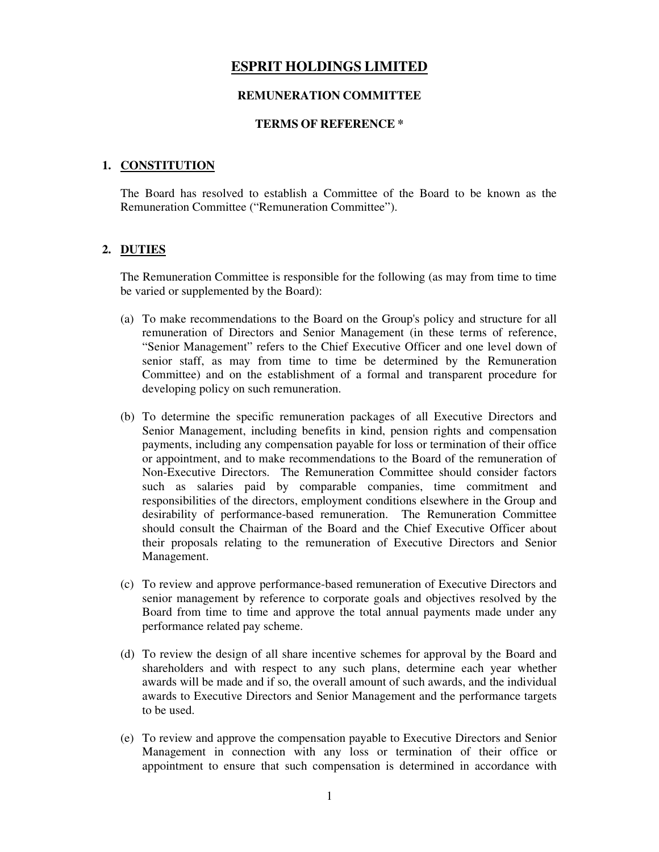# **ESPRIT HOLDINGS LIMITED**

# **REMUNERATION COMMITTEE**

#### **TERMS OF REFERENCE \***

# **1. CONSTITUTION**

The Board has resolved to establish a Committee of the Board to be known as the Remuneration Committee ("Remuneration Committee").

# **2. DUTIES**

The Remuneration Committee is responsible for the following (as may from time to time be varied or supplemented by the Board):

- (a) To make recommendations to the Board on the Group's policy and structure for all remuneration of Directors and Senior Management (in these terms of reference, "Senior Management" refers to the Chief Executive Officer and one level down of senior staff, as may from time to time be determined by the Remuneration Committee) and on the establishment of a formal and transparent procedure for developing policy on such remuneration.
- (b) To determine the specific remuneration packages of all Executive Directors and Senior Management, including benefits in kind, pension rights and compensation payments, including any compensation payable for loss or termination of their office or appointment, and to make recommendations to the Board of the remuneration of Non-Executive Directors. The Remuneration Committee should consider factors such as salaries paid by comparable companies, time commitment and responsibilities of the directors, employment conditions elsewhere in the Group and desirability of performance-based remuneration. The Remuneration Committee should consult the Chairman of the Board and the Chief Executive Officer about their proposals relating to the remuneration of Executive Directors and Senior Management.
- (c) To review and approve performance-based remuneration of Executive Directors and senior management by reference to corporate goals and objectives resolved by the Board from time to time and approve the total annual payments made under any performance related pay scheme.
- (d) To review the design of all share incentive schemes for approval by the Board and shareholders and with respect to any such plans, determine each year whether awards will be made and if so, the overall amount of such awards, and the individual awards to Executive Directors and Senior Management and the performance targets to be used.
- (e) To review and approve the compensation payable to Executive Directors and Senior Management in connection with any loss or termination of their office or appointment to ensure that such compensation is determined in accordance with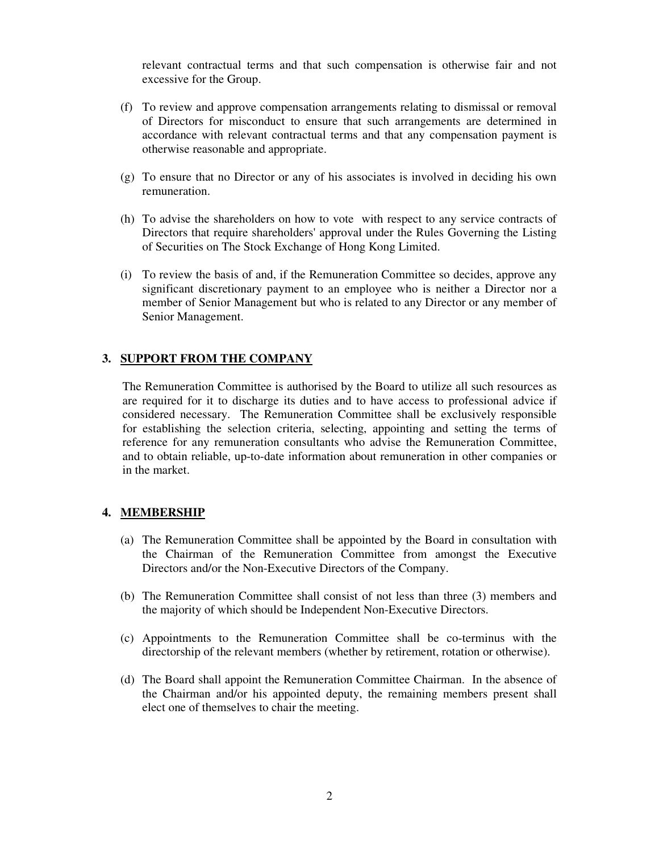relevant contractual terms and that such compensation is otherwise fair and not excessive for the Group.

- (f) To review and approve compensation arrangements relating to dismissal or removal of Directors for misconduct to ensure that such arrangements are determined in accordance with relevant contractual terms and that any compensation payment is otherwise reasonable and appropriate.
- (g) To ensure that no Director or any of his associates is involved in deciding his own remuneration.
- (h) To advise the shareholders on how to vote with respect to any service contracts of Directors that require shareholders' approval under the Rules Governing the Listing of Securities on The Stock Exchange of Hong Kong Limited.
- (i) To review the basis of and, if the Remuneration Committee so decides, approve any significant discretionary payment to an employee who is neither a Director nor a member of Senior Management but who is related to any Director or any member of Senior Management.

# **3. SUPPORT FROM THE COMPANY**

The Remuneration Committee is authorised by the Board to utilize all such resources as are required for it to discharge its duties and to have access to professional advice if considered necessary. The Remuneration Committee shall be exclusively responsible for establishing the selection criteria, selecting, appointing and setting the terms of reference for any remuneration consultants who advise the Remuneration Committee, and to obtain reliable, up-to-date information about remuneration in other companies or in the market.

# **4. MEMBERSHIP**

- (a) The Remuneration Committee shall be appointed by the Board in consultation with the Chairman of the Remuneration Committee from amongst the Executive Directors and/or the Non-Executive Directors of the Company.
- (b) The Remuneration Committee shall consist of not less than three (3) members and the majority of which should be Independent Non-Executive Directors.
- (c) Appointments to the Remuneration Committee shall be co-terminus with the directorship of the relevant members (whether by retirement, rotation or otherwise).
- (d) The Board shall appoint the Remuneration Committee Chairman. In the absence of the Chairman and/or his appointed deputy, the remaining members present shall elect one of themselves to chair the meeting.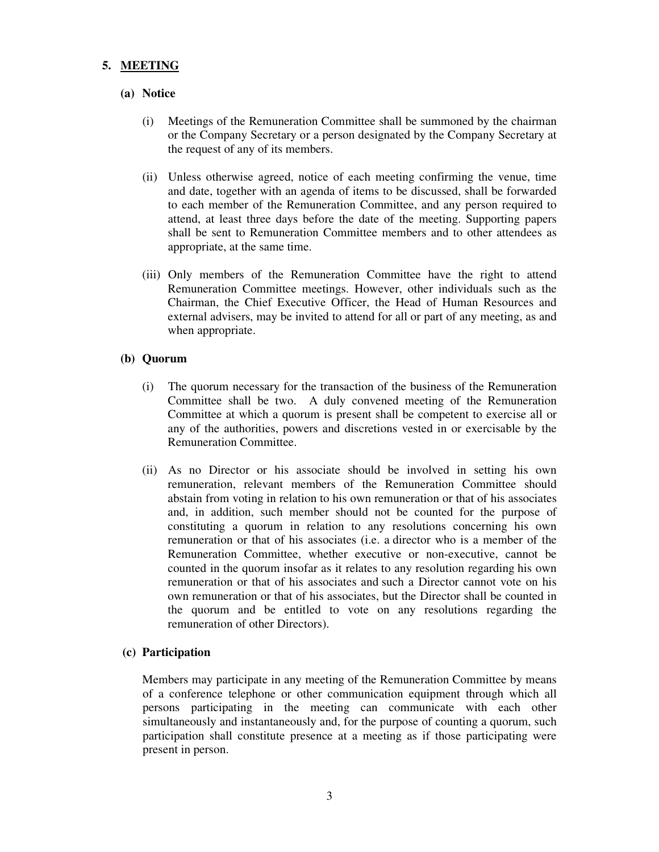# **5. MEETING**

## **(a) Notice**

- (i) Meetings of the Remuneration Committee shall be summoned by the chairman or the Company Secretary or a person designated by the Company Secretary at the request of any of its members.
- (ii) Unless otherwise agreed, notice of each meeting confirming the venue, time and date, together with an agenda of items to be discussed, shall be forwarded to each member of the Remuneration Committee, and any person required to attend, at least three days before the date of the meeting. Supporting papers shall be sent to Remuneration Committee members and to other attendees as appropriate, at the same time.
- (iii) Only members of the Remuneration Committee have the right to attend Remuneration Committee meetings. However, other individuals such as the Chairman, the Chief Executive Officer, the Head of Human Resources and external advisers, may be invited to attend for all or part of any meeting, as and when appropriate.

#### **(b) Quorum**

- (i) The quorum necessary for the transaction of the business of the Remuneration Committee shall be two. A duly convened meeting of the Remuneration Committee at which a quorum is present shall be competent to exercise all or any of the authorities, powers and discretions vested in or exercisable by the Remuneration Committee.
- (ii) As no Director or his associate should be involved in setting his own remuneration, relevant members of the Remuneration Committee should abstain from voting in relation to his own remuneration or that of his associates and, in addition, such member should not be counted for the purpose of constituting a quorum in relation to any resolutions concerning his own remuneration or that of his associates (i.e. a director who is a member of the Remuneration Committee, whether executive or non-executive, cannot be counted in the quorum insofar as it relates to any resolution regarding his own remuneration or that of his associates and such a Director cannot vote on his own remuneration or that of his associates, but the Director shall be counted in the quorum and be entitled to vote on any resolutions regarding the remuneration of other Directors).

### **(c) Participation**

 Members may participate in any meeting of the Remuneration Committee by means of a conference telephone or other communication equipment through which all persons participating in the meeting can communicate with each other simultaneously and instantaneously and, for the purpose of counting a quorum, such participation shall constitute presence at a meeting as if those participating were present in person.